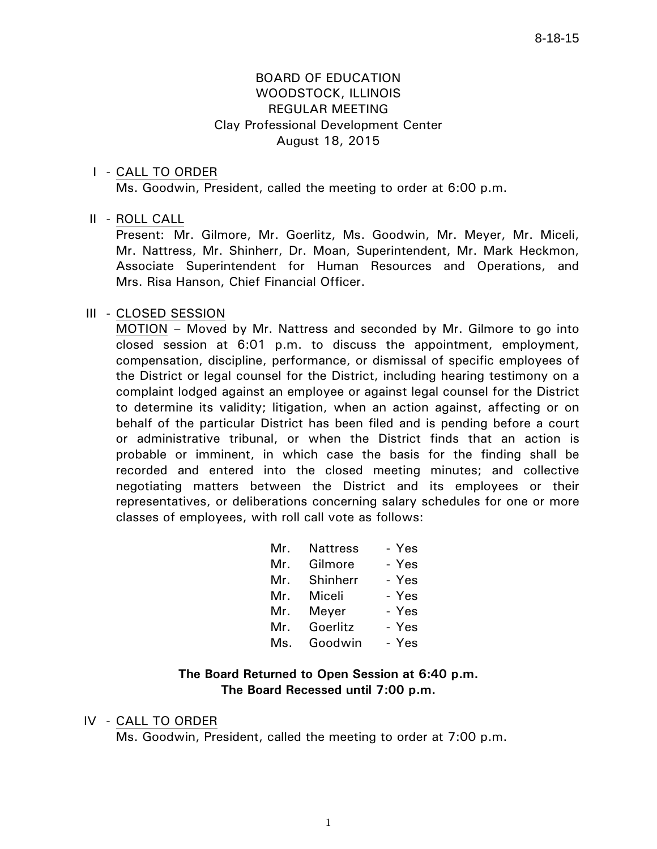## BOARD OF EDUCATION WOODSTOCK, ILLINOIS REGULAR MEETING Clay Professional Development Center August 18, 2015

### I - CALL TO ORDER

Ms. Goodwin, President, called the meeting to order at 6:00 p.m.

## II - ROLL CALL

 Present: Mr. Gilmore, Mr. Goerlitz, Ms. Goodwin, Mr. Meyer, Mr. Miceli, Mr. Nattress, Mr. Shinherr, Dr. Moan, Superintendent, Mr. Mark Heckmon, Associate Superintendent for Human Resources and Operations, and Mrs. Risa Hanson, Chief Financial Officer.

## III - CLOSED SESSION

 MOTION – Moved by Mr. Nattress and seconded by Mr. Gilmore to go into closed session at 6:01 p.m. to discuss the appointment, employment, compensation, discipline, performance, or dismissal of specific employees of the District or legal counsel for the District, including hearing testimony on a complaint lodged against an employee or against legal counsel for the District to determine its validity; litigation, when an action against, affecting or on behalf of the particular District has been filed and is pending before a court or administrative tribunal, or when the District finds that an action is probable or imminent, in which case the basis for the finding shall be recorded and entered into the closed meeting minutes; and collective negotiating matters between the District and its employees or their representatives, or deliberations concerning salary schedules for one or more classes of employees, with roll call vote as follows:

| Mr. | <b>Nattress</b> | - Yes |
|-----|-----------------|-------|
| Mr. | Gilmore         | - Yes |
| Mr. | Shinherr        | - Yes |
| Mr. | Miceli          | - Yes |
|     | Mr. Meyer       | - Yes |
| Mr. | Goerlitz        | - Yes |
| Ms. | Goodwin         | - Yes |

## **The Board Returned to Open Session at 6:40 p.m. The Board Recessed until 7:00 p.m.**

#### IV - CALL TO ORDER

Ms. Goodwin, President, called the meeting to order at 7:00 p.m.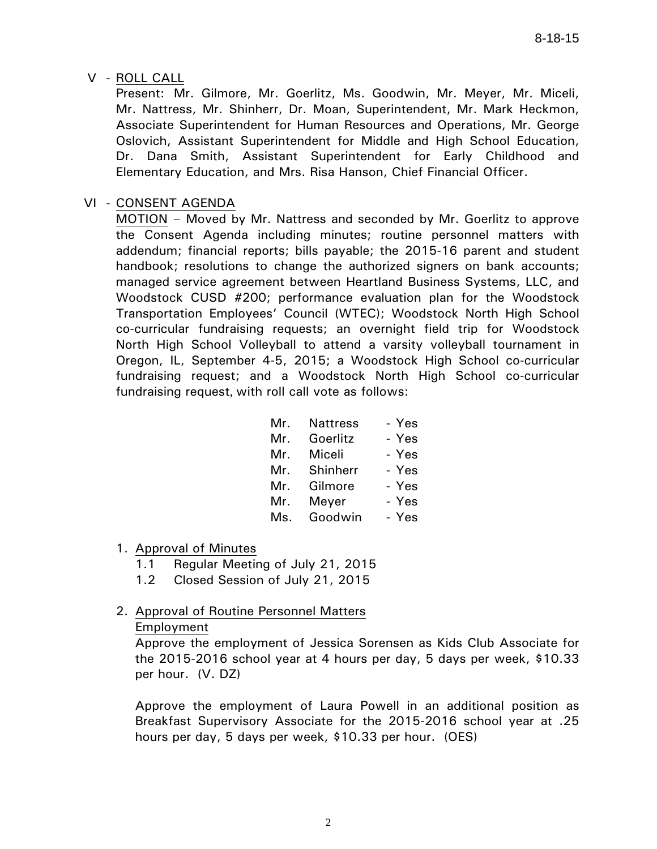V - ROLL CALL

 Present: Mr. Gilmore, Mr. Goerlitz, Ms. Goodwin, Mr. Meyer, Mr. Miceli, Mr. Nattress, Mr. Shinherr, Dr. Moan, Superintendent, Mr. Mark Heckmon, Associate Superintendent for Human Resources and Operations, Mr. George Oslovich, Assistant Superintendent for Middle and High School Education, Dr. Dana Smith, Assistant Superintendent for Early Childhood and Elementary Education, and Mrs. Risa Hanson, Chief Financial Officer.

## VI - CONSENT AGENDA

 MOTION – Moved by Mr. Nattress and seconded by Mr. Goerlitz to approve the Consent Agenda including minutes; routine personnel matters with addendum; financial reports; bills payable; the 2015-16 parent and student handbook; resolutions to change the authorized signers on bank accounts; managed service agreement between Heartland Business Systems, LLC, and Woodstock CUSD #200; performance evaluation plan for the Woodstock Transportation Employees' Council (WTEC); Woodstock North High School co-curricular fundraising requests; an overnight field trip for Woodstock North High School Volleyball to attend a varsity volleyball tournament in Oregon, IL, September 4-5, 2015; a Woodstock High School co-curricular fundraising request; and a Woodstock North High School co-curricular fundraising request, with roll call vote as follows:

| Mr. |          | - Yes                |
|-----|----------|----------------------|
| Mr. | Goerlitz | - Yes                |
| Mr. | Miceli   | - Yes                |
| Mr. |          | - Yes                |
| Mr. | Gilmore  | - Yes                |
| Mr. | Meyer    | - Yes                |
| Ms. | Goodwin  | - Yes                |
|     |          | Nattress<br>Shinherr |

- 1. Approval of Minutes
	- 1.1 Regular Meeting of July 21, 2015
	- 1.2 Closed Session of July 21, 2015

#### 2. Approval of Routine Personnel Matters Employment

Approve the employment of Jessica Sorensen as Kids Club Associate for the 2015-2016 school year at 4 hours per day, 5 days per week, \$10.33 per hour. (V. DZ)

Approve the employment of Laura Powell in an additional position as Breakfast Supervisory Associate for the 2015-2016 school year at .25 hours per day, 5 days per week, \$10.33 per hour. (OES)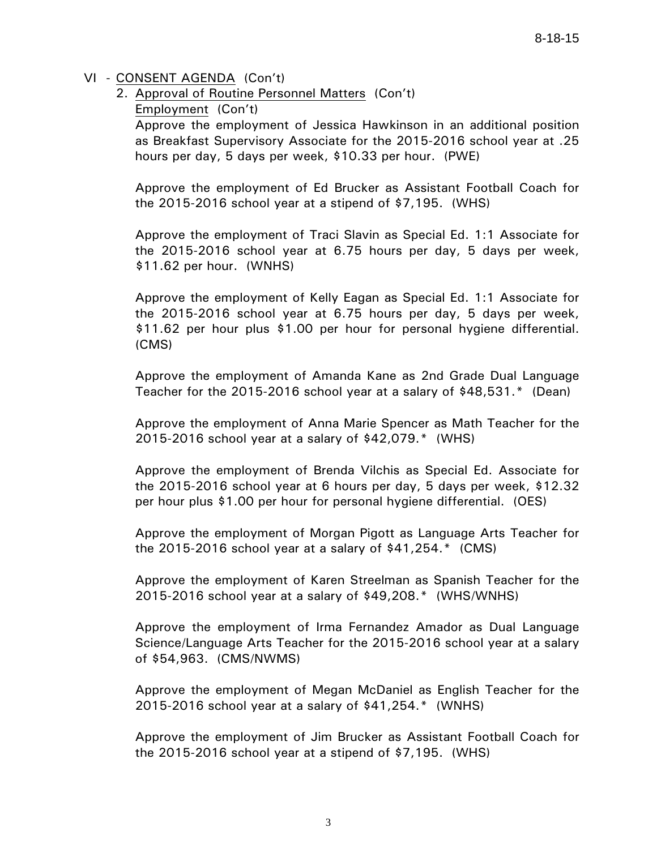- 2. Approval of Routine Personnel Matters (Con't)
	- Employment (Con't)

Approve the employment of Jessica Hawkinson in an additional position as Breakfast Supervisory Associate for the 2015-2016 school year at .25 hours per day, 5 days per week, \$10.33 per hour. (PWE)

Approve the employment of Ed Brucker as Assistant Football Coach for the 2015-2016 school year at a stipend of \$7,195. (WHS)

Approve the employment of Traci Slavin as Special Ed. 1:1 Associate for the 2015-2016 school year at 6.75 hours per day, 5 days per week, \$11.62 per hour. (WNHS)

Approve the employment of Kelly Eagan as Special Ed. 1:1 Associate for the 2015-2016 school year at 6.75 hours per day, 5 days per week, \$11.62 per hour plus \$1.00 per hour for personal hygiene differential. (CMS)

Approve the employment of Amanda Kane as 2nd Grade Dual Language Teacher for the 2015-2016 school year at a salary of \$48,531.\* (Dean)

Approve the employment of Anna Marie Spencer as Math Teacher for the 2015-2016 school year at a salary of \$42,079.\* (WHS)

Approve the employment of Brenda Vilchis as Special Ed. Associate for the 2015-2016 school year at 6 hours per day, 5 days per week, \$12.32 per hour plus \$1.00 per hour for personal hygiene differential. (OES)

Approve the employment of Morgan Pigott as Language Arts Teacher for the 2015-2016 school year at a salary of \$41,254.\* (CMS)

Approve the employment of Karen Streelman as Spanish Teacher for the 2015-2016 school year at a salary of \$49,208.\* (WHS/WNHS)

Approve the employment of Irma Fernandez Amador as Dual Language Science/Language Arts Teacher for the 2015-2016 school year at a salary of \$54,963. (CMS/NWMS)

Approve the employment of Megan McDaniel as English Teacher for the 2015-2016 school year at a salary of \$41,254.\* (WNHS)

Approve the employment of Jim Brucker as Assistant Football Coach for the 2015-2016 school year at a stipend of \$7,195. (WHS)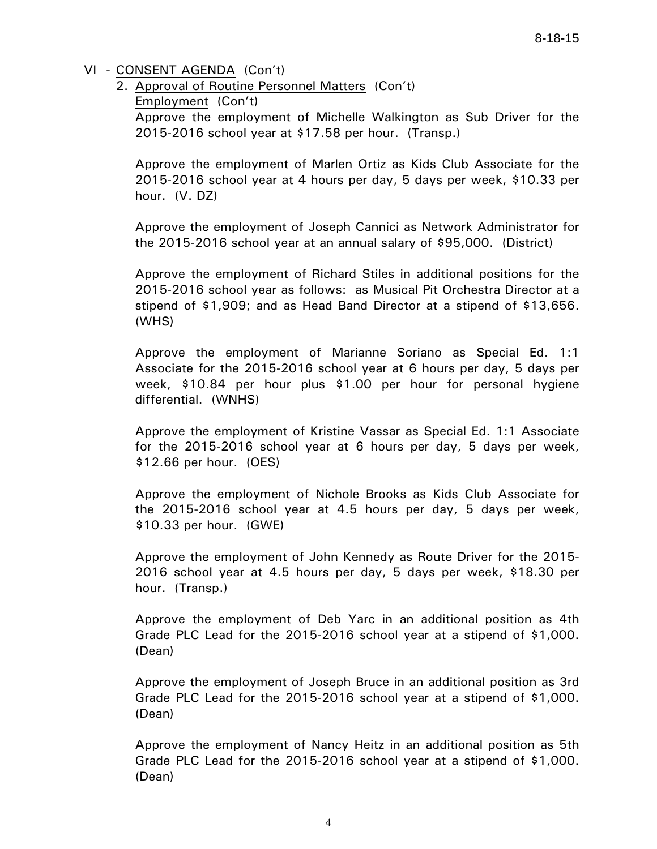2. Approval of Routine Personnel Matters (Con't)

Employment (Con't)

Approve the employment of Michelle Walkington as Sub Driver for the 2015-2016 school year at \$17.58 per hour. (Transp.)

Approve the employment of Marlen Ortiz as Kids Club Associate for the 2015-2016 school year at 4 hours per day, 5 days per week, \$10.33 per hour. (V. DZ)

Approve the employment of Joseph Cannici as Network Administrator for the 2015-2016 school year at an annual salary of \$95,000. (District)

Approve the employment of Richard Stiles in additional positions for the 2015-2016 school year as follows: as Musical Pit Orchestra Director at a stipend of \$1,909; and as Head Band Director at a stipend of \$13,656. (WHS)

Approve the employment of Marianne Soriano as Special Ed. 1:1 Associate for the 2015-2016 school year at 6 hours per day, 5 days per week, \$10.84 per hour plus \$1.00 per hour for personal hygiene differential. (WNHS)

Approve the employment of Kristine Vassar as Special Ed. 1:1 Associate for the 2015-2016 school year at 6 hours per day, 5 days per week, \$12.66 per hour. (OES)

Approve the employment of Nichole Brooks as Kids Club Associate for the 2015-2016 school year at 4.5 hours per day, 5 days per week, \$10.33 per hour. (GWE)

Approve the employment of John Kennedy as Route Driver for the 2015- 2016 school year at 4.5 hours per day, 5 days per week, \$18.30 per hour. (Transp.)

Approve the employment of Deb Yarc in an additional position as 4th Grade PLC Lead for the 2015-2016 school year at a stipend of \$1,000. (Dean)

Approve the employment of Joseph Bruce in an additional position as 3rd Grade PLC Lead for the 2015-2016 school year at a stipend of \$1,000. (Dean)

Approve the employment of Nancy Heitz in an additional position as 5th Grade PLC Lead for the 2015-2016 school year at a stipend of \$1,000. (Dean)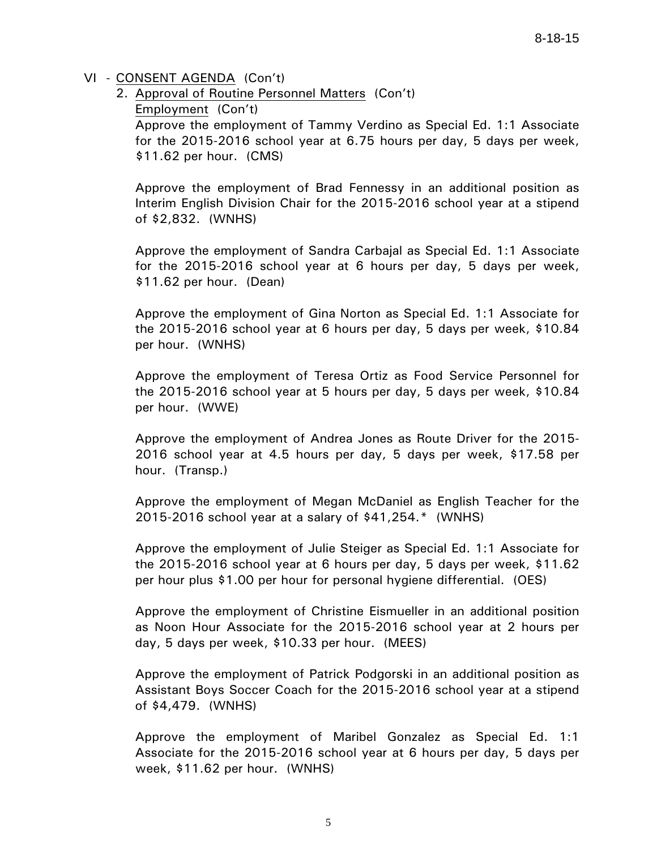2. Approval of Routine Personnel Matters (Con't) Employment (Con't) Approve the employment of Tammy Verdino as Special Ed. 1:1 Associate for the 2015-2016 school year at 6.75 hours per day, 5 days per week, \$11.62 per hour. (CMS)

Approve the employment of Brad Fennessy in an additional position as Interim English Division Chair for the 2015-2016 school year at a stipend of \$2,832. (WNHS)

Approve the employment of Sandra Carbajal as Special Ed. 1:1 Associate for the 2015-2016 school year at 6 hours per day, 5 days per week, \$11.62 per hour. (Dean)

Approve the employment of Gina Norton as Special Ed. 1:1 Associate for the 2015-2016 school year at 6 hours per day, 5 days per week, \$10.84 per hour. (WNHS)

Approve the employment of Teresa Ortiz as Food Service Personnel for the 2015-2016 school year at 5 hours per day, 5 days per week, \$10.84 per hour. (WWE)

Approve the employment of Andrea Jones as Route Driver for the 2015- 2016 school year at 4.5 hours per day, 5 days per week, \$17.58 per hour. (Transp.)

Approve the employment of Megan McDaniel as English Teacher for the 2015-2016 school year at a salary of \$41,254.\* (WNHS)

Approve the employment of Julie Steiger as Special Ed. 1:1 Associate for the 2015-2016 school year at 6 hours per day, 5 days per week, \$11.62 per hour plus \$1.00 per hour for personal hygiene differential. (OES)

Approve the employment of Christine Eismueller in an additional position as Noon Hour Associate for the 2015-2016 school year at 2 hours per day, 5 days per week, \$10.33 per hour. (MEES)

Approve the employment of Patrick Podgorski in an additional position as Assistant Boys Soccer Coach for the 2015-2016 school year at a stipend of \$4,479. (WNHS)

Approve the employment of Maribel Gonzalez as Special Ed. 1:1 Associate for the 2015-2016 school year at 6 hours per day, 5 days per week, \$11.62 per hour. (WNHS)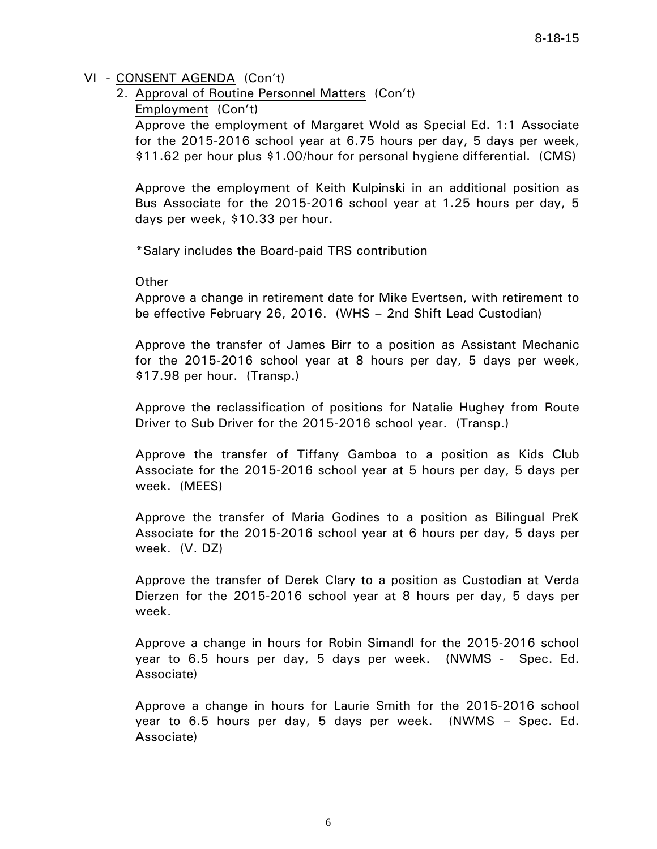- 2. Approval of Routine Personnel Matters (Con't)
	- Employment (Con't)

Approve the employment of Margaret Wold as Special Ed. 1:1 Associate for the 2015-2016 school year at 6.75 hours per day, 5 days per week, \$11.62 per hour plus \$1.00/hour for personal hygiene differential. (CMS)

Approve the employment of Keith Kulpinski in an additional position as Bus Associate for the 2015-2016 school year at 1.25 hours per day, 5 days per week, \$10.33 per hour.

\*Salary includes the Board-paid TRS contribution

#### **Other**

Approve a change in retirement date for Mike Evertsen, with retirement to be effective February 26, 2016. (WHS – 2nd Shift Lead Custodian)

Approve the transfer of James Birr to a position as Assistant Mechanic for the 2015-2016 school year at 8 hours per day, 5 days per week, \$17.98 per hour. (Transp.)

Approve the reclassification of positions for Natalie Hughey from Route Driver to Sub Driver for the 2015-2016 school year. (Transp.)

Approve the transfer of Tiffany Gamboa to a position as Kids Club Associate for the 2015-2016 school year at 5 hours per day, 5 days per week. (MEES)

Approve the transfer of Maria Godines to a position as Bilingual PreK Associate for the 2015-2016 school year at 6 hours per day, 5 days per week. (V. DZ)

Approve the transfer of Derek Clary to a position as Custodian at Verda Dierzen for the 2015-2016 school year at 8 hours per day, 5 days per week.

Approve a change in hours for Robin Simandl for the 2015-2016 school year to 6.5 hours per day, 5 days per week. (NWMS - Spec. Ed. Associate)

Approve a change in hours for Laurie Smith for the 2015-2016 school year to 6.5 hours per day, 5 days per week. (NWMS – Spec. Ed. Associate)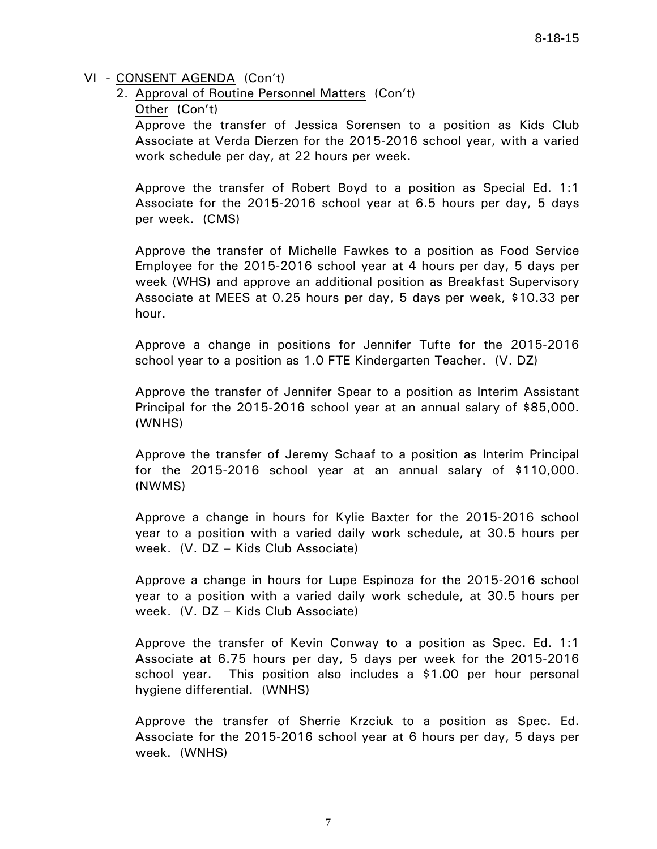- 2. Approval of Routine Personnel Matters (Con't)
	- Other (Con't)

Approve the transfer of Jessica Sorensen to a position as Kids Club Associate at Verda Dierzen for the 2015-2016 school year, with a varied work schedule per day, at 22 hours per week.

Approve the transfer of Robert Boyd to a position as Special Ed. 1:1 Associate for the 2015-2016 school year at 6.5 hours per day, 5 days per week. (CMS)

Approve the transfer of Michelle Fawkes to a position as Food Service Employee for the 2015-2016 school year at 4 hours per day, 5 days per week (WHS) and approve an additional position as Breakfast Supervisory Associate at MEES at 0.25 hours per day, 5 days per week, \$10.33 per hour.

Approve a change in positions for Jennifer Tufte for the 2015-2016 school year to a position as 1.0 FTE Kindergarten Teacher. (V. DZ)

Approve the transfer of Jennifer Spear to a position as Interim Assistant Principal for the 2015-2016 school year at an annual salary of \$85,000. (WNHS)

Approve the transfer of Jeremy Schaaf to a position as Interim Principal for the 2015-2016 school year at an annual salary of \$110,000. (NWMS)

Approve a change in hours for Kylie Baxter for the 2015-2016 school year to a position with a varied daily work schedule, at 30.5 hours per week. (V. DZ – Kids Club Associate)

Approve a change in hours for Lupe Espinoza for the 2015-2016 school year to a position with a varied daily work schedule, at 30.5 hours per week. (V. DZ – Kids Club Associate)

Approve the transfer of Kevin Conway to a position as Spec. Ed. 1:1 Associate at 6.75 hours per day, 5 days per week for the 2015-2016 school year. This position also includes a \$1.00 per hour personal hygiene differential. (WNHS)

Approve the transfer of Sherrie Krzciuk to a position as Spec. Ed. Associate for the 2015-2016 school year at 6 hours per day, 5 days per week. (WNHS)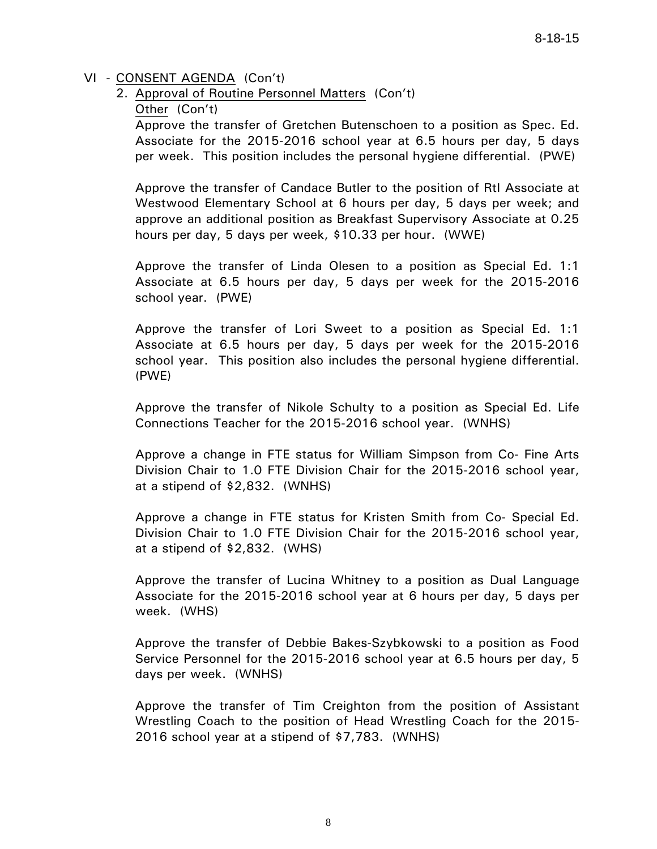2. Approval of Routine Personnel Matters (Con't)

Other (Con't)

Approve the transfer of Gretchen Butenschoen to a position as Spec. Ed. Associate for the 2015-2016 school year at 6.5 hours per day, 5 days per week. This position includes the personal hygiene differential. (PWE)

Approve the transfer of Candace Butler to the position of RtI Associate at Westwood Elementary School at 6 hours per day, 5 days per week; and approve an additional position as Breakfast Supervisory Associate at 0.25 hours per day, 5 days per week, \$10.33 per hour. (WWE)

Approve the transfer of Linda Olesen to a position as Special Ed. 1:1 Associate at 6.5 hours per day, 5 days per week for the 2015-2016 school year. (PWE)

Approve the transfer of Lori Sweet to a position as Special Ed. 1:1 Associate at 6.5 hours per day, 5 days per week for the 2015-2016 school year. This position also includes the personal hygiene differential. (PWE)

Approve the transfer of Nikole Schulty to a position as Special Ed. Life Connections Teacher for the 2015-2016 school year. (WNHS)

Approve a change in FTE status for William Simpson from Co- Fine Arts Division Chair to 1.0 FTE Division Chair for the 2015-2016 school year, at a stipend of \$2,832. (WNHS)

Approve a change in FTE status for Kristen Smith from Co- Special Ed. Division Chair to 1.0 FTE Division Chair for the 2015-2016 school year, at a stipend of \$2,832. (WHS)

Approve the transfer of Lucina Whitney to a position as Dual Language Associate for the 2015-2016 school year at 6 hours per day, 5 days per week. (WHS)

Approve the transfer of Debbie Bakes-Szybkowski to a position as Food Service Personnel for the 2015-2016 school year at 6.5 hours per day, 5 days per week. (WNHS)

Approve the transfer of Tim Creighton from the position of Assistant Wrestling Coach to the position of Head Wrestling Coach for the 2015- 2016 school year at a stipend of \$7,783. (WNHS)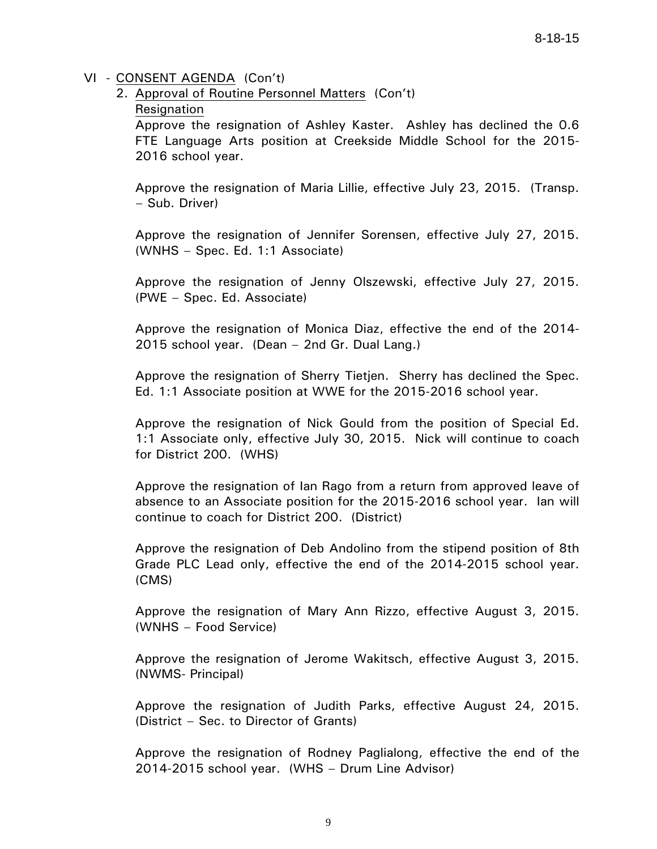2. Approval of Routine Personnel Matters (Con't)

## Resignation

Approve the resignation of Ashley Kaster. Ashley has declined the 0.6 FTE Language Arts position at Creekside Middle School for the 2015- 2016 school year.

Approve the resignation of Maria Lillie, effective July 23, 2015. (Transp. – Sub. Driver)

Approve the resignation of Jennifer Sorensen, effective July 27, 2015. (WNHS – Spec. Ed. 1:1 Associate)

Approve the resignation of Jenny Olszewski, effective July 27, 2015. (PWE – Spec. Ed. Associate)

Approve the resignation of Monica Diaz, effective the end of the 2014- 2015 school year. (Dean – 2nd Gr. Dual Lang.)

Approve the resignation of Sherry Tietjen. Sherry has declined the Spec. Ed. 1:1 Associate position at WWE for the 2015-2016 school year.

Approve the resignation of Nick Gould from the position of Special Ed. 1:1 Associate only, effective July 30, 2015. Nick will continue to coach for District 200. (WHS)

Approve the resignation of Ian Rago from a return from approved leave of absence to an Associate position for the 2015-2016 school year. Ian will continue to coach for District 200. (District)

Approve the resignation of Deb Andolino from the stipend position of 8th Grade PLC Lead only, effective the end of the 2014-2015 school year. (CMS)

Approve the resignation of Mary Ann Rizzo, effective August 3, 2015. (WNHS – Food Service)

Approve the resignation of Jerome Wakitsch, effective August 3, 2015. (NWMS- Principal)

Approve the resignation of Judith Parks, effective August 24, 2015. (District – Sec. to Director of Grants)

Approve the resignation of Rodney Paglialong, effective the end of the 2014-2015 school year. (WHS – Drum Line Advisor)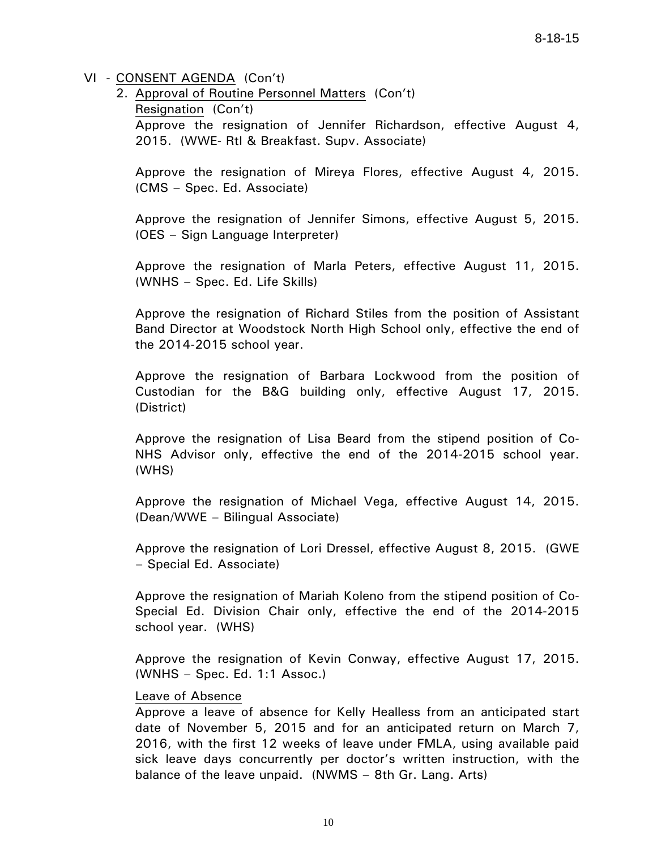2. Approval of Routine Personnel Matters (Con't) Resignation (Con't) Approve the resignation of Jennifer Richardson, effective August 4, 2015. (WWE- RtI & Breakfast. Supv. Associate)

Approve the resignation of Mireya Flores, effective August 4, 2015. (CMS – Spec. Ed. Associate)

Approve the resignation of Jennifer Simons, effective August 5, 2015. (OES – Sign Language Interpreter)

Approve the resignation of Marla Peters, effective August 11, 2015. (WNHS – Spec. Ed. Life Skills)

Approve the resignation of Richard Stiles from the position of Assistant Band Director at Woodstock North High School only, effective the end of the 2014-2015 school year.

Approve the resignation of Barbara Lockwood from the position of Custodian for the B&G building only, effective August 17, 2015. (District)

Approve the resignation of Lisa Beard from the stipend position of Co-NHS Advisor only, effective the end of the 2014-2015 school year. (WHS)

Approve the resignation of Michael Vega, effective August 14, 2015. (Dean/WWE – Bilingual Associate)

Approve the resignation of Lori Dressel, effective August 8, 2015. (GWE – Special Ed. Associate)

Approve the resignation of Mariah Koleno from the stipend position of Co-Special Ed. Division Chair only, effective the end of the 2014-2015 school year. (WHS)

Approve the resignation of Kevin Conway, effective August 17, 2015. (WNHS – Spec. Ed. 1:1 Assoc.)

#### Leave of Absence

Approve a leave of absence for Kelly Healless from an anticipated start date of November 5, 2015 and for an anticipated return on March 7, 2016, with the first 12 weeks of leave under FMLA, using available paid sick leave days concurrently per doctor's written instruction, with the balance of the leave unpaid. (NWMS – 8th Gr. Lang. Arts)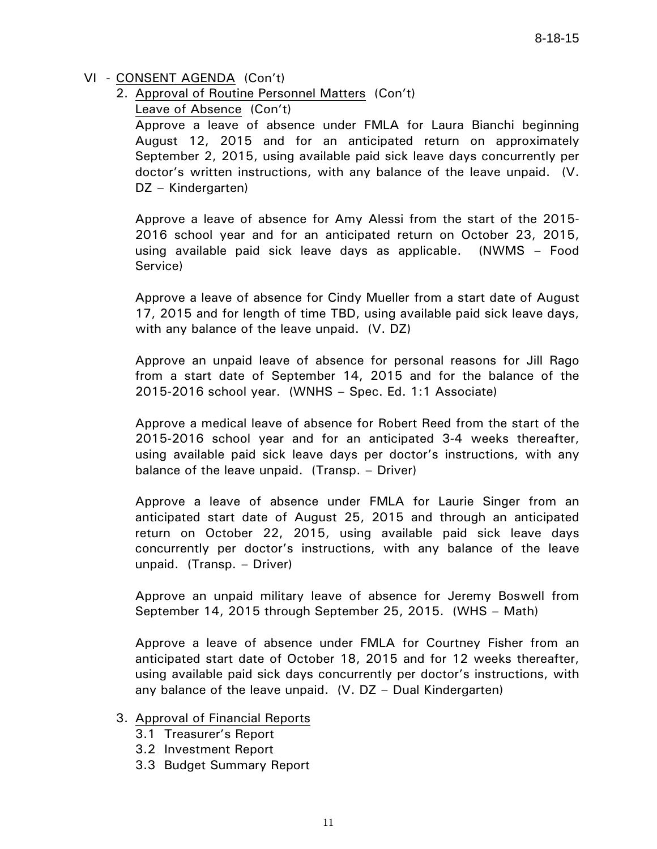- VI CONSENT AGENDA (Con't)
	- 2. Approval of Routine Personnel Matters (Con't)

Leave of Absence (Con't)

Approve a leave of absence under FMLA for Laura Bianchi beginning August 12, 2015 and for an anticipated return on approximately September 2, 2015, using available paid sick leave days concurrently per doctor's written instructions, with any balance of the leave unpaid. (V. DZ – Kindergarten)

Approve a leave of absence for Amy Alessi from the start of the 2015- 2016 school year and for an anticipated return on October 23, 2015, using available paid sick leave days as applicable. (NWMS – Food Service)

Approve a leave of absence for Cindy Mueller from a start date of August 17, 2015 and for length of time TBD, using available paid sick leave days, with any balance of the leave unpaid. (V. DZ)

Approve an unpaid leave of absence for personal reasons for Jill Rago from a start date of September 14, 2015 and for the balance of the 2015-2016 school year. (WNHS – Spec. Ed. 1:1 Associate)

Approve a medical leave of absence for Robert Reed from the start of the 2015-2016 school year and for an anticipated 3-4 weeks thereafter, using available paid sick leave days per doctor's instructions, with any balance of the leave unpaid. (Transp. – Driver)

Approve a leave of absence under FMLA for Laurie Singer from an anticipated start date of August 25, 2015 and through an anticipated return on October 22, 2015, using available paid sick leave days concurrently per doctor's instructions, with any balance of the leave unpaid. (Transp. – Driver)

Approve an unpaid military leave of absence for Jeremy Boswell from September 14, 2015 through September 25, 2015. (WHS – Math)

Approve a leave of absence under FMLA for Courtney Fisher from an anticipated start date of October 18, 2015 and for 12 weeks thereafter, using available paid sick days concurrently per doctor's instructions, with any balance of the leave unpaid. (V. DZ – Dual Kindergarten)

#### 3. Approval of Financial Reports

- 3.1 Treasurer's Report
- 3.2 Investment Report
- 3.3 Budget Summary Report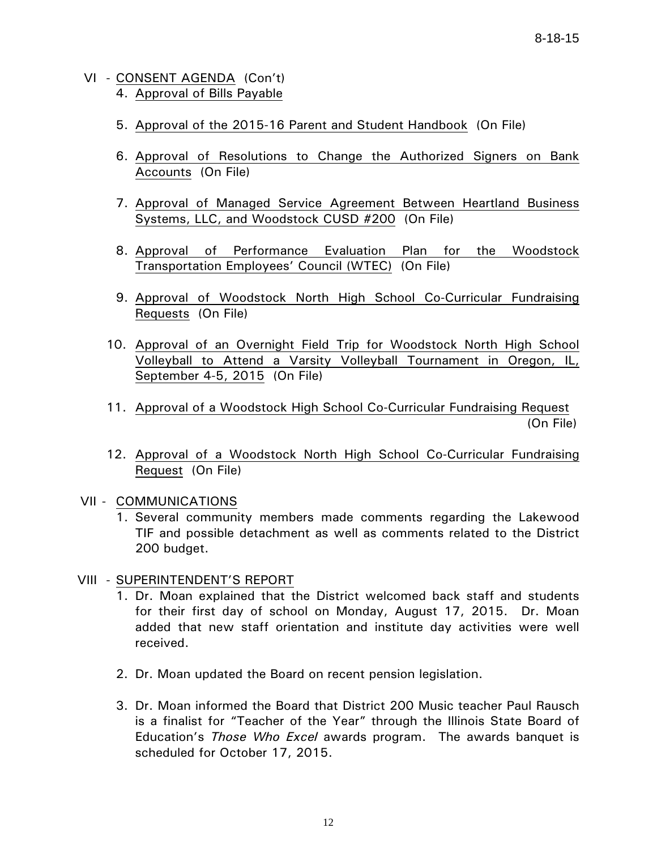- VI CONSENT AGENDA (Con't) 4. Approval of Bills Payable
	- 5. Approval of the 2015-16 Parent and Student Handbook (On File)
	- 6. Approval of Resolutions to Change the Authorized Signers on Bank Accounts (On File)
	- 7. Approval of Managed Service Agreement Between Heartland Business Systems, LLC, and Woodstock CUSD #200 (On File)
	- 8. Approval of Performance Evaluation Plan for the Woodstock Transportation Employees' Council (WTEC) (On File)
	- 9. Approval of Woodstock North High School Co-Curricular Fundraising Requests (On File)
	- 10. Approval of an Overnight Field Trip for Woodstock North High School Volleyball to Attend a Varsity Volleyball Tournament in Oregon, IL, September 4-5, 2015 (On File)
- 11. Approval of a Woodstock High School Co-Curricular Fundraising Request (On File)
	- 12. Approval of a Woodstock North High School Co-Curricular Fundraising Request (On File)

#### VII - COMMUNICATIONS

1. Several community members made comments regarding the Lakewood TIF and possible detachment as well as comments related to the District 200 budget.

#### VIII - SUPERINTENDENT'S REPORT

- 1. Dr. Moan explained that the District welcomed back staff and students for their first day of school on Monday, August 17, 2015. Dr. Moan added that new staff orientation and institute day activities were well received.
- 2. Dr. Moan updated the Board on recent pension legislation.
- 3. Dr. Moan informed the Board that District 200 Music teacher Paul Rausch is a finalist for "Teacher of the Year" through the Illinois State Board of Education's *Those Who Excel* awards program. The awards banquet is scheduled for October 17, 2015.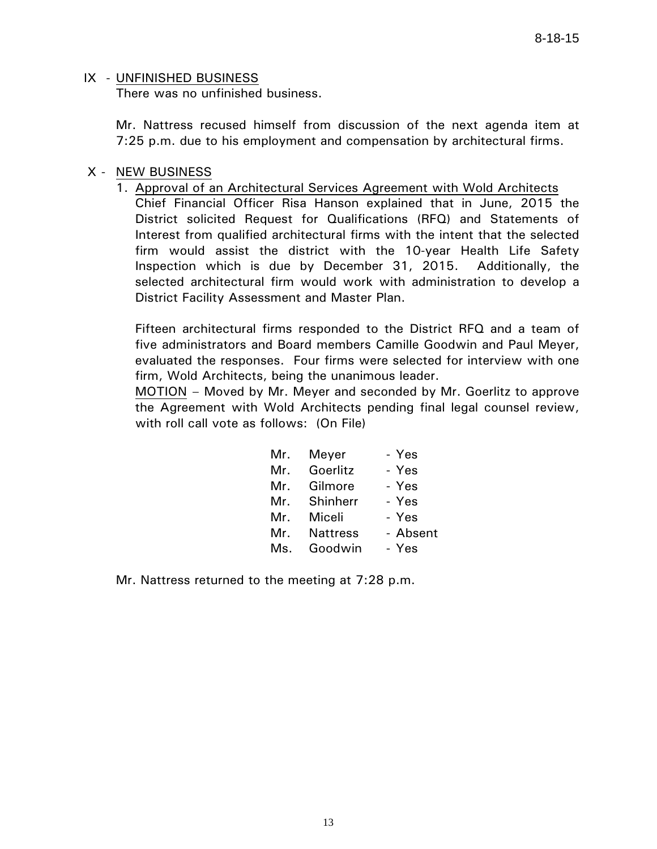# IX - UNFINISHED BUSINESS

There was no unfinished business.

 Mr. Nattress recused himself from discussion of the next agenda item at 7:25 p.m. due to his employment and compensation by architectural firms.

## X - NEW BUSINESS

1. Approval of an Architectural Services Agreement with Wold Architects Chief Financial Officer Risa Hanson explained that in June, 2015 the District solicited Request for Qualifications (RFQ) and Statements of Interest from qualified architectural firms with the intent that the selected firm would assist the district with the 10-year Health Life Safety Inspection which is due by December 31, 2015. Additionally, the selected architectural firm would work with administration to develop a District Facility Assessment and Master Plan.

Fifteen architectural firms responded to the District RFQ and a team of five administrators and Board members Camille Goodwin and Paul Meyer, evaluated the responses. Four firms were selected for interview with one firm, Wold Architects, being the unanimous leader.

MOTION – Moved by Mr. Meyer and seconded by Mr. Goerlitz to approve the Agreement with Wold Architects pending final legal counsel review, with roll call vote as follows: (On File)

| Mr. | Meyer           | - Yes    |
|-----|-----------------|----------|
| Mr. | Goerlitz        | - Yes    |
| Mr. | Gilmore         | - Yes    |
| Mr. | Shinherr        | - Yes    |
| Mr. | Miceli          | - Yes    |
| Mr. | <b>Nattress</b> | - Absent |
| Ms. | Goodwin         | - Yes    |

Mr. Nattress returned to the meeting at 7:28 p.m.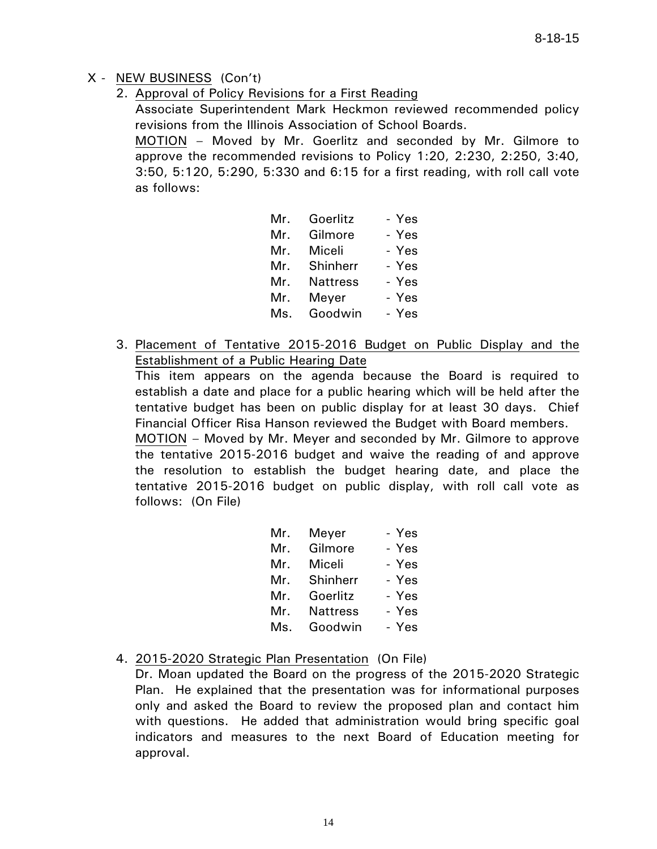## X - NEW BUSINESS (Con't)

2. Approval of Policy Revisions for a First Reading

Associate Superintendent Mark Heckmon reviewed recommended policy revisions from the Illinois Association of School Boards.

MOTION – Moved by Mr. Goerlitz and seconded by Mr. Gilmore to approve the recommended revisions to Policy 1:20, 2:230, 2:250, 3:40, 3:50, 5:120, 5:290, 5:330 and 6:15 for a first reading, with roll call vote as follows:

| Mr. | Goerlitz        | - Yes |
|-----|-----------------|-------|
| Mr. | Gilmore         | - Yes |
| Mr. | Miceli          | - Yes |
| Mr. | Shinherr        | - Yes |
| Mr. | <b>Nattress</b> | - Yes |
| Mr. | Meyer           | - Yes |
| Ms. | Goodwin         | - Yes |

3. Placement of Tentative 2015-2016 Budget on Public Display and the Establishment of a Public Hearing Date

This item appears on the agenda because the Board is required to establish a date and place for a public hearing which will be held after the tentative budget has been on public display for at least 30 days. Chief Financial Officer Risa Hanson reviewed the Budget with Board members.

MOTION – Moved by Mr. Meyer and seconded by Mr. Gilmore to approve the tentative 2015-2016 budget and waive the reading of and approve the resolution to establish the budget hearing date, and place the tentative 2015-2016 budget on public display, with roll call vote as follows: (On File)

| Mr. | Meyer           | - Yes |
|-----|-----------------|-------|
| Mr. | Gilmore         | - Yes |
| Mr. | Miceli          | - Yes |
| Mr. | Shinherr        | - Yes |
| Mr. | Goerlitz        | - Yes |
| Mr. | <b>Nattress</b> | - Yes |
| Ms. | Goodwin         | - Yes |

## 4. 2015-2020 Strategic Plan Presentation (On File)

Dr. Moan updated the Board on the progress of the 2015-2020 Strategic Plan. He explained that the presentation was for informational purposes only and asked the Board to review the proposed plan and contact him with questions. He added that administration would bring specific goal indicators and measures to the next Board of Education meeting for approval.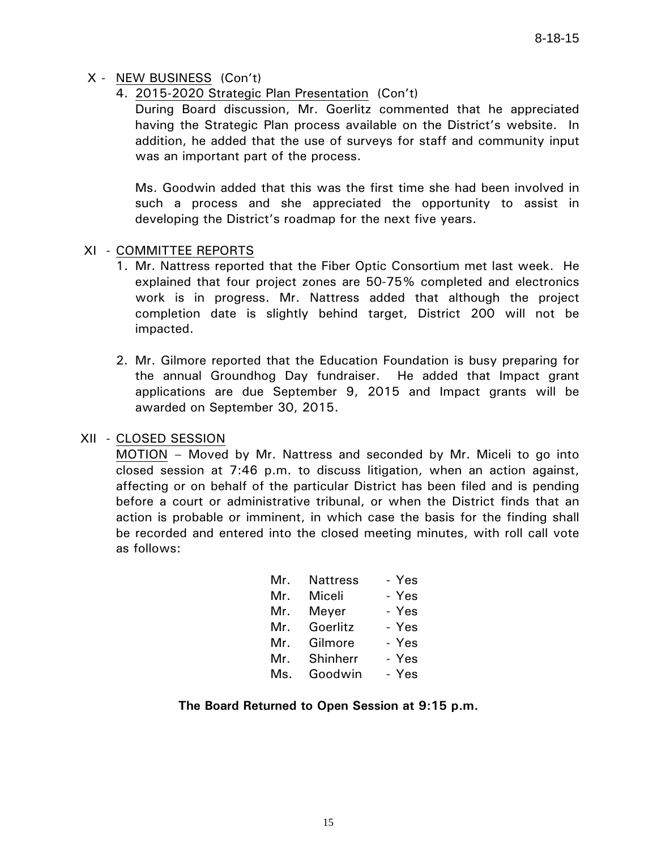## X - NEW BUSINESS (Con't)

4. 2015-2020 Strategic Plan Presentation (Con't)

During Board discussion, Mr. Goerlitz commented that he appreciated having the Strategic Plan process available on the District's website. In addition, he added that the use of surveys for staff and community input was an important part of the process.

Ms. Goodwin added that this was the first time she had been involved in such a process and she appreciated the opportunity to assist in developing the District's roadmap for the next five years.

## XI - COMMITTEE REPORTS

- 1. Mr. Nattress reported that the Fiber Optic Consortium met last week. He explained that four project zones are 50-75% completed and electronics work is in progress. Mr. Nattress added that although the project completion date is slightly behind target, District 200 will not be impacted.
- 2. Mr. Gilmore reported that the Education Foundation is busy preparing for the annual Groundhog Day fundraiser. He added that Impact grant applications are due September 9, 2015 and Impact grants will be awarded on September 30, 2015.

## XII - CLOSED SESSION

 MOTION – Moved by Mr. Nattress and seconded by Mr. Miceli to go into closed session at 7:46 p.m. to discuss litigation, when an action against, affecting or on behalf of the particular District has been filed and is pending before a court or administrative tribunal, or when the District finds that an action is probable or imminent, in which case the basis for the finding shall be recorded and entered into the closed meeting minutes, with roll call vote as follows:

| Mr. | <b>Nattress</b> | - Yes |
|-----|-----------------|-------|
| Mr. | Miceli          | - Yes |
| Mr. | Meyer           | - Yes |
| Mr. | Goerlitz        | - Yes |
| Mr. | Gilmore         | - Yes |
| Mr. | Shinherr        | - Yes |
| Ms. | Goodwin         | - Yes |

## **The Board Returned to Open Session at 9:15 p.m.**